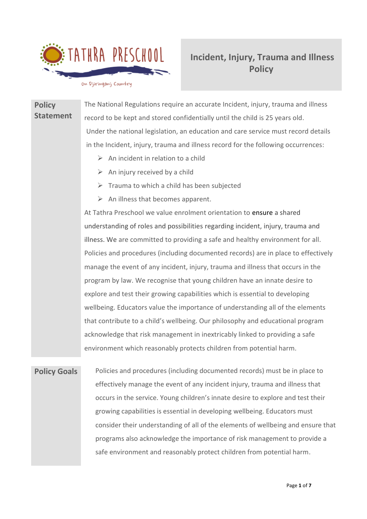

# **Incident, Injury, Trauma and Illness Policy**

on Djiringanj Country

**Policy Statement** The National Regulations require an accurate Incident, injury, trauma and illness record to be kept and stored confidentially until the child is 25 years old. Under the national legislation, an education and care service must record details in the Incident, injury, trauma and illness record for the following occurrences:  $\triangleright$  An incident in relation to a child  $\triangleright$  An injury received by a child  $\triangleright$  Trauma to which a child has been subjected  $\triangleright$  An illness that becomes apparent. At Tathra Preschool we value enrolment orientation to ensure a shared understanding of roles and possibilities regarding incident, injury, trauma and illness. We are committed to providing a safe and healthy environment for all. Policies and procedures (including documented records) are in place to effectively manage the event of any incident, injury, trauma and illness that occurs in the program by law. We recognise that young children have an innate desire to explore and test their growing capabilities which is essential to developing wellbeing. Educators value the importance of understanding all of the elements that contribute to a child's wellbeing. Our philosophy and educational program acknowledge that risk management in inextricably linked to providing a safe

**Policy Goals** Policies and procedures (including documented records) must be in place to effectively manage the event of any incident injury, trauma and illness that occurs in the service. Young children's innate desire to explore and test their growing capabilities is essential in developing wellbeing. Educators must consider their understanding of all of the elements of wellbeing and ensure that programs also acknowledge the importance of risk management to provide a safe environment and reasonably protect children from potential harm.

environment which reasonably protects children from potential harm.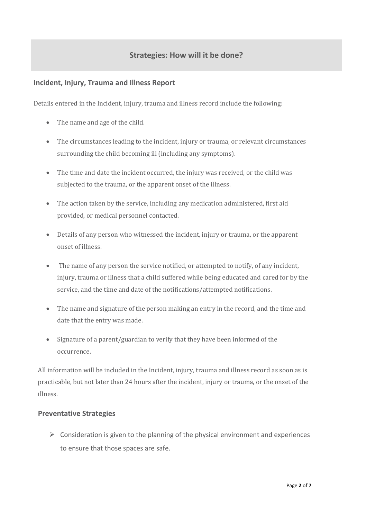# **Strategies: How will it be done?**

#### **Incident, Injury, Trauma and Illness Report**

Details entered in the Incident, injury, trauma and illness record include the following:

- The name and age of the child.
- The circumstances leading to the incident, injury or trauma, or relevant circumstances surrounding the child becoming ill (including any symptoms).
- The time and date the incident occurred, the injury was received, or the child was subjected to the trauma, or the apparent onset of the illness.
- The action taken by the service, including any medication administered, first aid provided, or medical personnel contacted.
- Details of any person who witnessed the incident, injury or trauma, or the apparent onset of illness.
- The name of any person the service notified, or attempted to notify, of any incident, injury, trauma or illness that a child suffered while being educated and cared for by the service, and the time and date of the notifications/attempted notifications.
- The name and signature of the person making an entry in the record, and the time and date that the entry was made.
- Signature of a parent/guardian to verify that they have been informed of the occurrence.

All information will be included in the Incident, injury, trauma and illness record as soon as is practicable, but not later than 24 hours after the incident, injury or trauma, or the onset of the illness.

#### **Preventative Strategies**

 $\triangleright$  Consideration is given to the planning of the physical environment and experiences to ensure that those spaces are safe.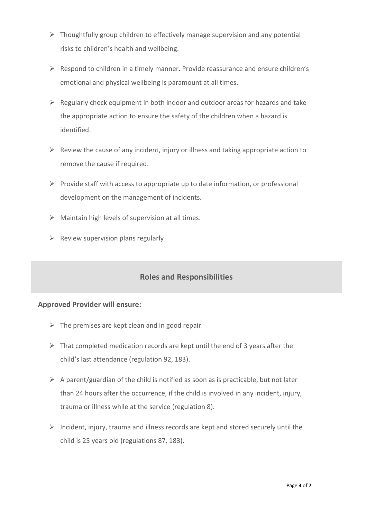- $\triangleright$  Thoughtfully group children to effectively manage supervision and any potential risks to children's health and wellbeing.
- ➢ Respond to children in a timely manner. Provide reassurance and ensure children's emotional and physical wellbeing is paramount at all times.
- $\triangleright$  Regularly check equipment in both indoor and outdoor areas for hazards and take the appropriate action to ensure the safety of the children when a hazard is identified.
- $\triangleright$  Review the cause of any incident, injury or illness and taking appropriate action to remove the cause if required.
- $\triangleright$  Provide staff with access to appropriate up to date information, or professional development on the management of incidents.
- $\triangleright$  Maintain high levels of supervision at all times.
- $\triangleright$  Review supervision plans regularly

# **Roles and Responsibilities**

#### **Approved Provider will ensure:**

- $\triangleright$  The premises are kept clean and in good repair.
- $\triangleright$  That completed medication records are kept until the end of 3 years after the child's last attendance (regulation 92, 183).
- $\triangleright$  A parent/guardian of the child is notified as soon as is practicable, but not later than 24 hours after the occurrence, if the child is involved in any incident, injury, trauma or illness while at the service (regulation 8).
- $\triangleright$  Incident, injury, trauma and illness records are kept and stored securely until the child is 25 years old (regulations 87, 183).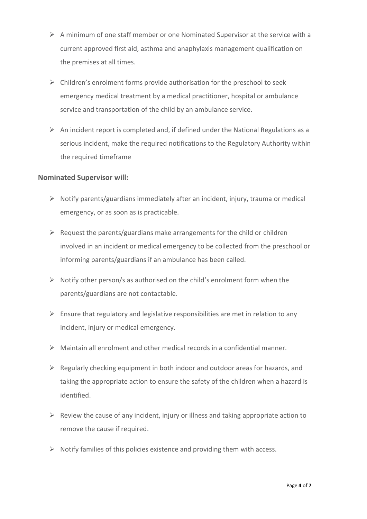- $\triangleright$  A minimum of one staff member or one Nominated Supervisor at the service with a current approved first aid, asthma and anaphylaxis management qualification on the premises at all times.
- $\triangleright$  Children's enrolment forms provide authorisation for the preschool to seek emergency medical treatment by a medical practitioner, hospital or ambulance service and transportation of the child by an ambulance service.
- $\triangleright$  An incident report is completed and, if defined under the National Regulations as a serious incident, make the required notifications to the Regulatory Authority within the required timeframe

#### **Nominated Supervisor will:**

- ➢ Notify parents/guardians immediately after an incident, injury, trauma or medical emergency, or as soon as is practicable.
- $\triangleright$  Request the parents/guardians make arrangements for the child or children involved in an incident or medical emergency to be collected from the preschool or informing parents/guardians if an ambulance has been called.
- $\triangleright$  Notify other person/s as authorised on the child's enrolment form when the parents/guardians are not contactable.
- $\triangleright$  Ensure that regulatory and legislative responsibilities are met in relation to any incident, injury or medical emergency.
- $\triangleright$  Maintain all enrolment and other medical records in a confidential manner.
- $\triangleright$  Regularly checking equipment in both indoor and outdoor areas for hazards, and taking the appropriate action to ensure the safety of the children when a hazard is identified.
- $\triangleright$  Review the cause of any incident, injury or illness and taking appropriate action to remove the cause if required.
- $\triangleright$  Notify families of this policies existence and providing them with access.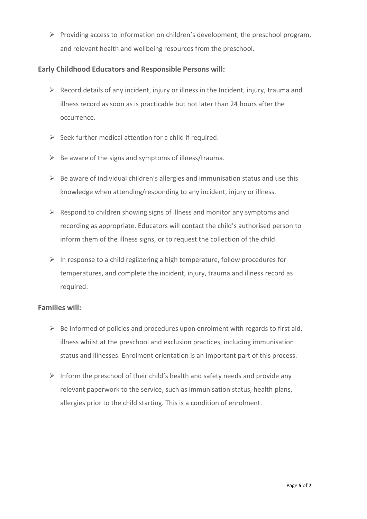➢ Providing access to information on children's development, the preschool program, and relevant health and wellbeing resources from the preschool.

### **Early Childhood Educators and Responsible Persons will:**

- $\triangleright$  Record details of any incident, injury or illness in the Incident, injury, trauma and illness record as soon as is practicable but not later than 24 hours after the occurrence.
- $\triangleright$  Seek further medical attention for a child if required.
- $\triangleright$  Be aware of the signs and symptoms of illness/trauma.
- $\triangleright$  Be aware of individual children's allergies and immunisation status and use this knowledge when attending/responding to any incident, injury or illness.
- $\triangleright$  Respond to children showing signs of illness and monitor any symptoms and recording as appropriate. Educators will contact the child's authorised person to inform them of the illness signs, or to request the collection of the child.
- $\triangleright$  In response to a child registering a high temperature, follow procedures for temperatures, and complete the incident, injury, trauma and illness record as required.

## **Families will:**

- $\triangleright$  Be informed of policies and procedures upon enrolment with regards to first aid, illness whilst at the preschool and exclusion practices, including immunisation status and illnesses. Enrolment orientation is an important part of this process.
- $\triangleright$  Inform the preschool of their child's health and safety needs and provide any relevant paperwork to the service, such as immunisation status, health plans, allergies prior to the child starting. This is a condition of enrolment.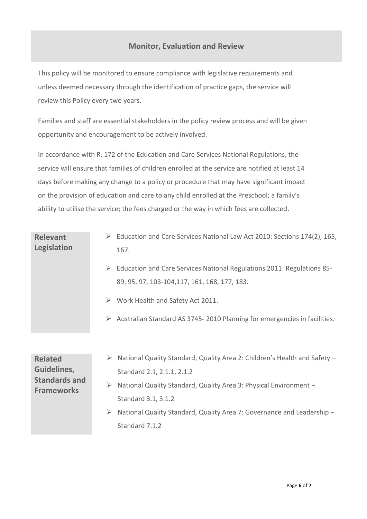## **Monitor, Evaluation and Review**

This policy will be monitored to ensure compliance with legislative requirements and unless deemed necessary through the identification of practice gaps, the service will review this Policy every two years.

Families and staff are essential stakeholders in the policy review process and will be given opportunity and encouragement to be actively involved.

In accordance with R. 172 of the Education and Care Services National Regulations, the service will ensure that families of children enrolled at the service are notified at least 14 days before making any change to a policy or procedure that may have significant impact on the provision of education and care to any child enrolled at the Preschool; a family's ability to utilise the service; the fees charged or the way in which fees are collected.

| <b>Relevant</b><br><b>Legislation</b>                                      | Education and Care Services National Law Act 2010: Sections 174(2), 165,<br>➤<br>167.<br>$\triangleright$ Education and Care Services National Regulations 2011: Regulations 85-<br>89, 95, 97, 103-104, 117, 161, 168, 177, 183.<br>$\triangleright$ Work Health and Safety Act 2011.<br>Australian Standard AS 3745-2010 Planning for emergencies in facilities.<br>➤ |
|----------------------------------------------------------------------------|-------------------------------------------------------------------------------------------------------------------------------------------------------------------------------------------------------------------------------------------------------------------------------------------------------------------------------------------------------------------------|
| <b>Related</b><br>Guidelines,<br><b>Standards and</b><br><b>Frameworks</b> | National Quality Standard, Quality Area 2: Children's Health and Safety -<br>Standard 2.1, 2.1.1, 2.1.2<br>$\blacktriangleright$<br>National Quality Standard, Quality Area 3: Physical Environment -<br>Standard 3.1, 3.1.2<br>National Quality Standard, Quality Area 7: Governance and Leadership -<br>➤<br>Standard 7.1.2                                           |